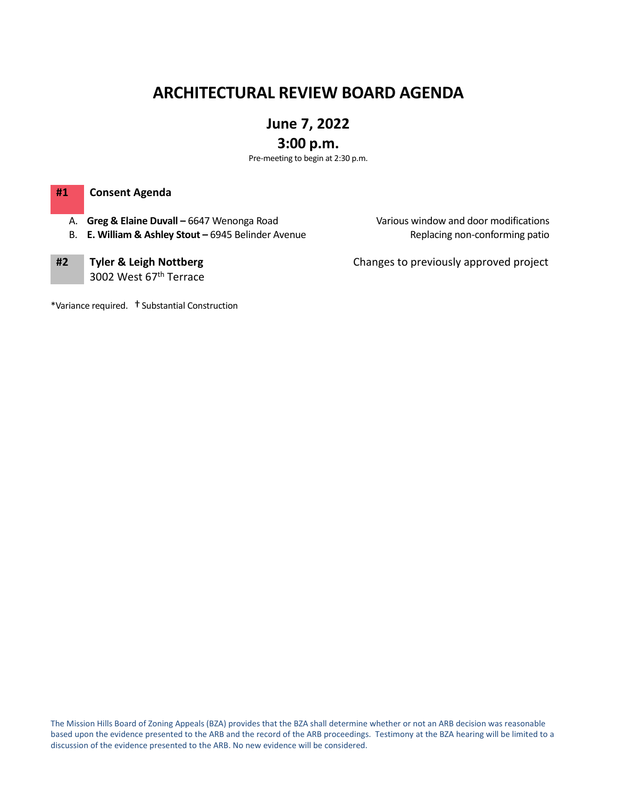# **ARCHITECTURAL REVIEW BOARD AGENDA**

# **June 7, 2022**

# **3:00 p.m.**

Pre-meeting to begin at 2:30 p.m.

### **#1 Consent Agenda**

- A. **Greg & Elaine Duvall –** 6647 Wenonga Road Various window and door modifications
- B. **E. William & Ashley Stout –** 6945 Belinder Avenue Replacing non-conforming patio

**#2 Tyler & Leigh Nottberg** 3002 West 67th Terrace Changes to previously approved project

\*Variance required. †Substantial Construction

The Mission Hills Board of Zoning Appeals (BZA) provides that the BZA shall determine whether or not an ARB decision was reasonable based upon the evidence presented to the ARB and the record of the ARB proceedings. Testimony at the BZA hearing will be limited to a discussion of the evidence presented to the ARB. No new evidence will be considered.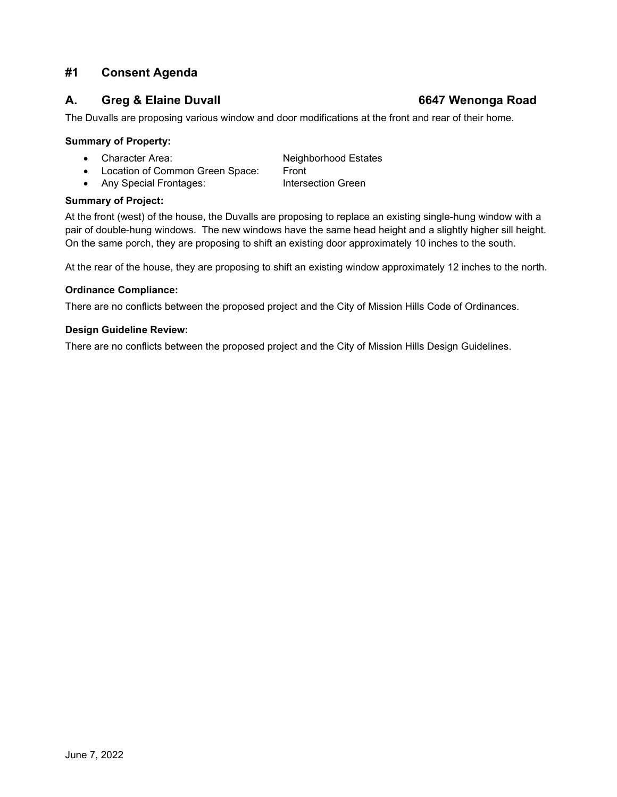# **#1 Consent Agenda**

### **A. Greg & Elaine Duvall 6647 Wenonga Road**

The Duvalls are proposing various window and door modifications at the front and rear of their home.

#### **Summary of Property:**

- Character Area: Neighborhood Estates
- 
- Location of Common Green Space: Front • Any Special Frontages:

#### **Summary of Project:**

At the front (west) of the house, the Duvalls are proposing to replace an existing single-hung window with a pair of double-hung windows. The new windows have the same head height and a slightly higher sill height. On the same porch, they are proposing to shift an existing door approximately 10 inches to the south.

At the rear of the house, they are proposing to shift an existing window approximately 12 inches to the north.

#### **Ordinance Compliance:**

There are no conflicts between the proposed project and the City of Mission Hills Code of Ordinances.

#### **Design Guideline Review:**

There are no conflicts between the proposed project and the City of Mission Hills Design Guidelines.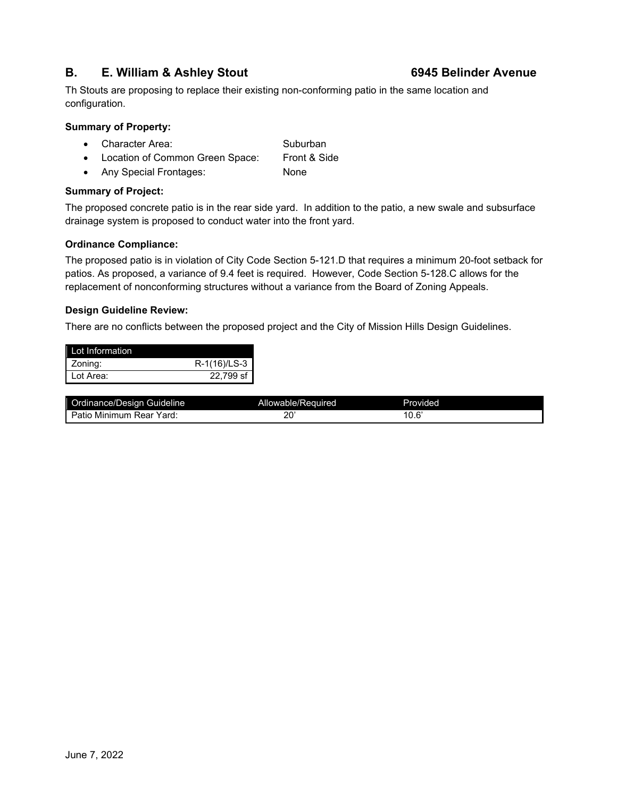## **B. E. William & Ashley Stout 6945 Belinder Avenue**

### Th Stouts are proposing to replace their existing non-conforming patio in the same location and configuration.

#### **Summary of Property:**

- Character Area: Suburban
- Location of Common Green Space: Front & Side
- Any Special Frontages: None

#### **Summary of Project:**

The proposed concrete patio is in the rear side yard. In addition to the patio, a new swale and subsurface drainage system is proposed to conduct water into the front yard.

### **Ordinance Compliance:**

The proposed patio is in violation of City Code Section 5-121.D that requires a minimum 20-foot setback for patios. As proposed, a variance of 9.4 feet is required. However, Code Section 5-128.C allows for the replacement of nonconforming structures without a variance from the Board of Zoning Appeals.

#### **Design Guideline Review:**

There are no conflicts between the proposed project and the City of Mission Hills Design Guidelines.

| Lot Information |              |
|-----------------|--------------|
| Zoning:         | R-1(16)/LS-3 |
| Lot Area:       | 22.799 sf    |

| Ordinance/Design Guideline       | Allowable/Required | Provided              |
|----------------------------------|--------------------|-----------------------|
| Patic<br>Yard<br>Rear<br>Minimum | nn<br>--<br>__     | . ຂ'<br>$\sim$<br>___ |